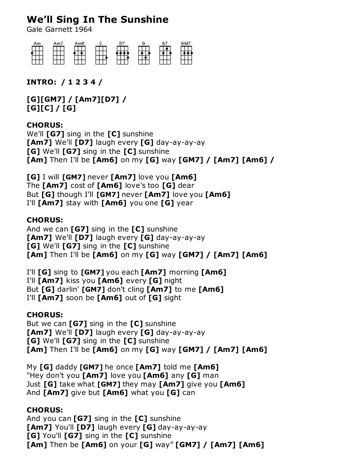# **We'll Sing In The Sunshine**

Gale Garnett 1964



**INTRO: / 1 2 3 4 /**

**[G][GM7] / [Am7][D7] / [G][C] / [G]**

### **CHORUS:**

We'll **[G7]** sing in the **[C]** sunshine **[Am7]** We'll **[D7]** laugh every **[G]** day-ay-ay-ay **[G]** We'll **[G7]** sing in the **[C]** sunshine **[Am]** Then I'll be **[Am6]** on my **[G]** way **[GM7] / [Am7] [Am6] /**

**[G]** I will **[GM7]** never **[Am7]** love you **[Am6]** The **[Am7]** cost of **[Am6]** love's too **[G]** dear But **[G]** though I'll **[GM7]** never **[Am7]** love you **[Am6]** I'll **[Am7]** stay with **[Am6]** you one **[G]** year

#### **CHORUS:**

And we can **[G7]** sing in the **[C]** sunshine **[Am7]** We'll **[D7]** laugh every **[G]** day-ay-ay-ay **[G]** We'll **[G7]** sing in the **[C]** sunshine **[Am]** Then I'll be **[Am6]** on my **[G]** way **[GM7] / [Am7] [Am6]**

I'll **[G]** sing to **[GM7]** you each **[Am7]** morning **[Am6]** I'll **[Am7]** kiss you **[Am6]** every **[G]** night But **[G]** darlin' **[GM7]** don't cling **[Am7]** to me **[Am6]** I'll **[Am7]** soon be **[Am6]** out of **[G]** sight

#### **CHORUS:**

But we can **[G7]** sing in the **[C]** sunshine **[Am7]** We'll **[D7]** laugh every **[G]** day-ay-ay-ay **[G]** We'll **[G7]** sing in the **[C]** sunshine **[Am]** Then I'll be **[Am6]** on my **[G]** way **[GM7] / [Am7] [Am6]**

My **[G]** daddy **[GM7]** he once **[Am7]** told me **[Am6]** "Hey don't you **[Am7]** love you **[Am6]** any **[G]** man Just **[G]** take what **[GM7]** they may **[Am7]** give you **[Am6]** And **[Am7]** give but **[Am6]** what you **[G]** can

#### **CHORUS:**

And you can **[G7]** sing in the **[C]** sunshine **[Am7]** You'll **[D7]** laugh every **[G]** day-ay-ay-ay **[G]** You'll **[G7]** sing in the **[C]** sunshine **[Am]** Then be **[Am6]** on your **[G]** way" **[GM7] / [Am7] [Am6]**